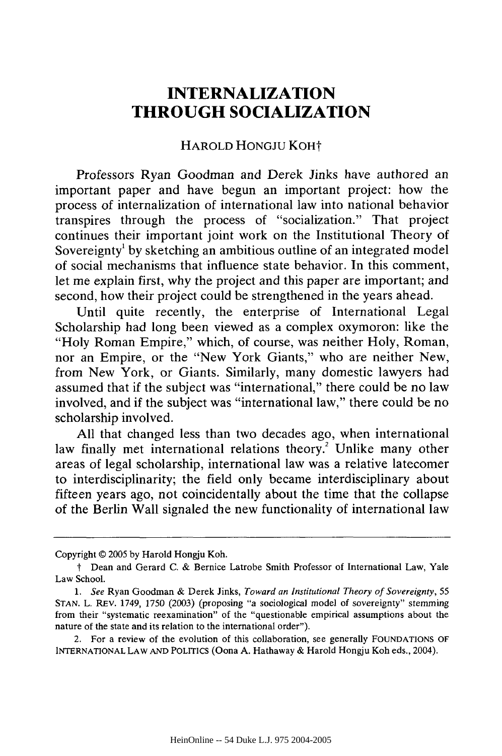## **INTERNALIZATION THROUGH SOCIALIZATION**

## HAROLD HONGJU KOHt

Professors Ryan Goodman and Derek Jinks have authored an important paper and have begun an important project: how the process of internalization of international law into national behavior transpires through the process of "socialization." That project continues their important joint work on the Institutional Theory of Sovereignty' by sketching an ambitious outline of an integrated model of social mechanisms that influence state behavior. In this comment, let me explain first, why the project and this paper are important; and second, how their project could be strengthened in the years ahead.

Until quite recently, the enterprise of International Legal Scholarship had long been viewed as a complex oxymoron: like the "Holy Roman Empire," which, of course, was neither Holy, Roman, nor an Empire, or the "New York Giants," who are neither New, from New York, or Giants. Similarly, many domestic lawyers had assumed that if the subject was "international," there could be no law involved, and if the subject was "international law," there could be no scholarship involved.

**All** that changed less than two decades ago, when international law finally met international relations theory.<sup>2</sup> Unlike many other areas of legal scholarship, international law was a relative latecomer to interdisciplinarity; the field only became interdisciplinary about fifteen years ago, not coincidentally about the time that the collapse of the Berlin Wall signaled the new functionality of international law

Copyright © 2005 **by** Harold Hongju Koh.

t Dean and Gerard **C.** & Bernice Latrobe Smith Professor of International Law, Yale Law School.

*<sup>1.</sup> See* Ryan Goodman & Derek Jinks, *Toward an Institutional Theory of Sovereignty,* <sup>55</sup> **STAN.** L. REV. 1749, 1750 **(2003)** (proposing "a sociological model of sovereignty" stemming from their "systematic reexamination" of the "questionable empirical assumptions about the nature of the state and its relation to the international order").

<sup>2.</sup> For a review of the evolution of this collaboration, see generally **FOUNDATIONS OF INTERNATIONAL LAW AND POLITICS** (Oona **A.** Hathaway & Harold Hongju Koh eds., 2004).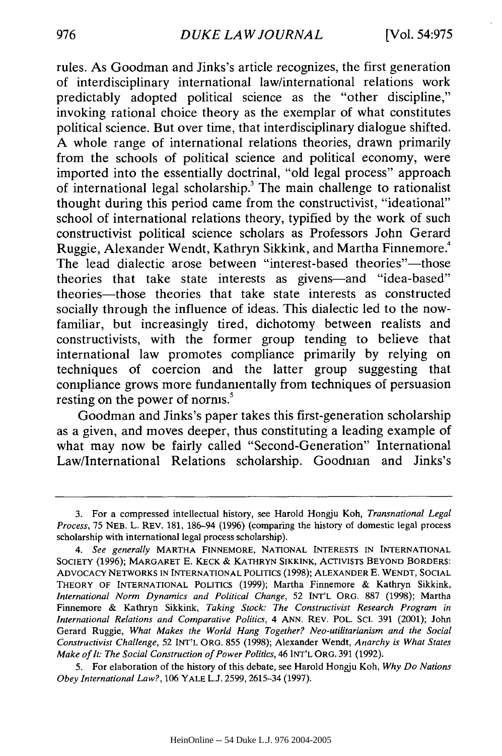rules. As Goodman and Jinks's article recognizes, the first generation of interdisciplinary international law/international relations work predictably adopted political science as the "other discipline," invoking rational choice theory as the exemplar of what constitutes political science. But over time, that interdisciplinary dialogue shifted. A whole range of international relations theories, drawn primarily from the schools of political science and political economy, were imported into the essentially doctrinal, "old legal process" approach of international legal scholarship.<sup>3</sup> The main challenge to rationalist thought during this period came from the constructivist, "ideational" school of international relations theory, typified by the work of such constructivist political science scholars as Professors John Gerard Ruggie, Alexander Wendt, Kathryn Sikkink, and Martha Finnemore. The lead dialectic arose between "interest-based theories"-those theories that take state interests as givens-and "idea-based" theories-those theories that take state interests as constructed socially through the influence of ideas. This dialectic led to the nowfamiliar, but increasingly tired, dichotomy between realists and constructivists, with the former group tending to believe that international law promotes compliance primarily by relying on techniques of coercion and the latter group suggesting that compliance grows more fundamentally from techniques of persuasion resting on the power of norms.'

Goodman and Jinks's paper takes this first-generation scholarship as a given, and moves deeper, thus constituting a leading example of what may now be fairly called "Second-Generation" International Law/International Relations scholarship. Goodman and Jinks's

<sup>3.</sup> For a compressed intellectual history, see Harold Hongju Koh, *Transnational Legal Process,* 75 NEB. L. REV. 181, 186-94 (1996) (comparing the history of domestic legal process scholarship with international legal process scholarship).

*<sup>4.</sup> See generally* MARTHA **FINNEMORE, NATIONAL INTERESTS IN** INTERNATIONAL SOCIETY **(1996);** MARGARET **E.** KECK **&** KATHRYN SIKKINK, ACTIVISTS BEYOND BORDERS: **ADVOCACY** NETWORKS **IN** INTERNATIONAL POLITICS **(1998);** ALEXANDER **E. WENDT, SOCIAL** THEORY OF INTERNATIONAL **POLITICS (1999);** Martha Finnemore & Kathryn Sikkink, *International Norm Dynamics and Political Change,* **52 INT'L** ORG. 887 (1998); Martha Finnemore & Kathryn Sikkink, *Taking Stock: The Constructivist Research Program in International Relations and Comparative Politics,* 4 **ANN.** REV. POL. SCI. 391 (2001); John Gerard Ruggie, *What Makes the World Hang Together? Neo-utilitarianism and the Social Constructivist Challenge,* 52 INT'L ORG. 855 (1998); Alexander Wendt, *Anarchy is What States Make of It: The Social Construction of Power Politics,* 46 INT'L ORG. 391 (1992).

<sup>5.</sup> For elaboration of the history of this debate, see Harold Hongju Koh, *Why Do Nations Obey International Law?,* 106 YALE L.J. 2599, 2615-34 (1997).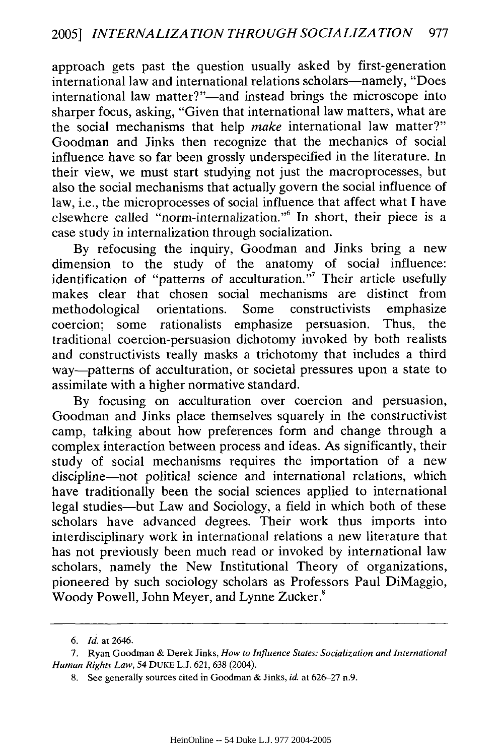approach gets past the question usually asked by first-generation international law and international relations scholars—namely, "Does international law matter?"—and instead brings the microscope into sharper focus, asking, "Given that international law matters, what are the social mechanisms that help *make* international law matter?" Goodman and Jinks then recognize that the mechanics of social influence have so far been grossly underspecified in the literature. In their view, we must start studying not just the macroprocesses, but also the social mechanisms that actually govern the social influence of law, i.e., the microprocesses of social influence that affect what I have elsewhere called "norm-internalization." In short, their piece is a case study in internalization through socialization.

By refocusing the inquiry, Goodman and Jinks bring a new dimension to the study of the anatomy of social influence: identification of "patterns of acculturation."<sup>7</sup> Their article usefully makes clear that chosen social mechanisms are distinct from methodological orientations. Some constructivists emphasize coercion; some rationalists emphasize persuasion. Thus, the traditional coercion-persuasion dichotomy invoked by both realists and constructivists really masks a trichotomy that includes a third way-patterns of acculturation, or societal pressures upon a state to assimilate with a higher normative standard.

By focusing on acculturation over coercion and persuasion, Goodman and Jinks place themselves squarely in the constructivist camp, talking about how preferences form and change through a complex interaction between process and ideas. As significantly, their study of social mechanisms requires the importation of a new discipline-not political science and international relations, which have traditionally been the social sciences applied to international legal studies-but Law and Sociology, a field in which both of these scholars have advanced degrees. Their work thus imports into interdisciplinary work in international relations a new literature that has not previously been much read or invoked by international law scholars, namely the New Institutional Theory of organizations, pioneered by such sociology scholars as Professors Paul DiMaggio, Woody Powell, John Meyer, and Lynne Zucker.<sup>8</sup>

*<sup>6.</sup> Id.* at 2646.

<sup>7.</sup> Ryan Goodman & Derek Jinks, *How to Influence States: Socialization and International Human Rights Law,* 54 DUKE L.J. 621, 638 (2004).

<sup>8.</sup> See generally sources cited in Goodman & Jinks, *id.* at 626-27 n.9.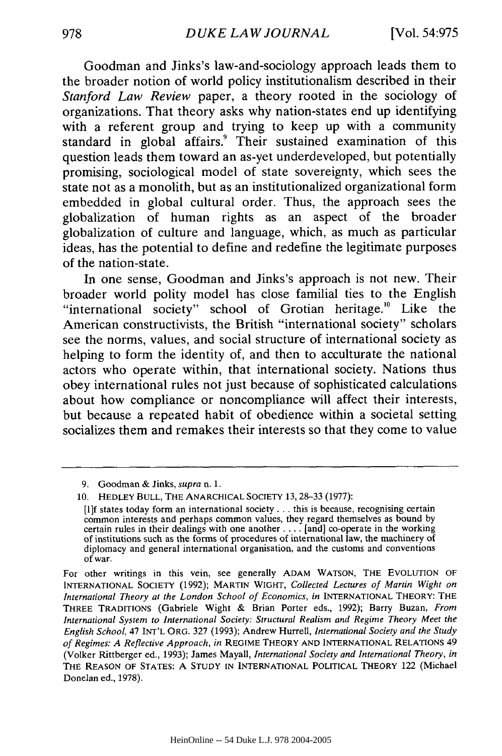Goodman and Jinks's law-and-sociology approach leads them to the broader notion of world policy institutionalism described in their *Stanford Law Review* paper, a theory rooted in the sociology of organizations. That theory asks why nation-states end up identifying with a referent group and trying to keep up with a community standard in global affairs.<sup>9</sup> Their sustained examination of this question leads them toward an as-yet underdeveloped, but potentially promising, sociological model of state sovereignty, which sees the state not as a monolith, but as an institutionalized organizational form embedded in global cultural order. Thus, the approach sees the globalization of human rights as an aspect of the broader globalization of culture and language, which, as much as particular ideas, has the potential to define and redefine the legitimate purposes of the nation-state.

In one sense, Goodman and Jinks's approach is not new. Their broader world polity model has close familial ties to the English "international society" school of Grotian heritage.<sup>10</sup> Like the American constructivists, the British "international society" scholars see the norms, values, and social structure of international society as helping to form the identity of, and then to acculturate the national actors who operate within, that international society. Nations thus obey international rules not just because of sophisticated calculations about how compliance or noncompliance will affect their interests, but because a repeated habit of obedience within a societal setting socializes them and remakes their interests so that they come to value

<sup>9.</sup> Goodman & Jinks, *supra n.* **1.**

**<sup>10.</sup> HEDLEY BULL,** THE ANARCHICAL SOCIETY **13, 28-33 (1977):**

<sup>[</sup>Ilf states today form an international **society...** this is because, recognising certain common interests and perhaps common values, they regard themselves as bound by certain rules in their dealings with one another **....** [and] co-operate in the working of institutions such as the forms of procedures of international law, the machinery **of** diplomacy and general international organisation, and the customs and conventions of war.

For other writings in this vein, see generally ADAM WATSON, THE EVOLUTION OF **INTERNATIONAL SOCIETY (1992);** MARTIN WIGHT, *Collected Lectures of Martin Wight on International Theory at the London School of Economics, in* **INTERNATIONAL** THEORY: THE THREE TRADITIONS (Gabriele **Wight &** Brian Porter eds., 1992); Barry Buzan, *From International System to International Society: Structural Realism and Regime Theory Meet the English School,* 47 **INT'L** ORG. 327 (1993); Andrew Hurrell, *International Society and the Study of Regimes: A Reflective Approach, in* REGIME THEORY **AND** INTERNATIONAL RELATIONS 49 (Volker Rittberger ed., 1993); James Mayall, *International Society and International Theory, in* THE REASON OF STATES: A STUDY IN INTERNATIONAL POLITICAL THEORY 122 (Michael Donelan ed., 1978).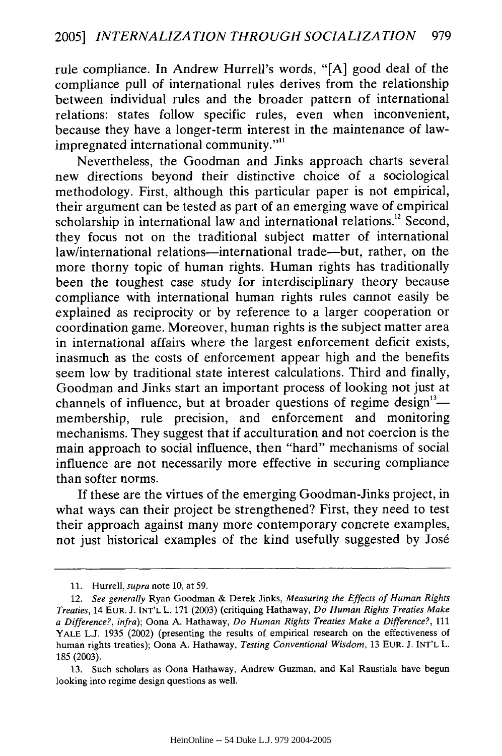rule compliance. In Andrew Hurrell's words, "[A] good deal of the compliance pull of international rules derives from the relationship between individual rules and the broader pattern of international relations: states follow specific rules, even when inconvenient, because they have a longer-term interest in the maintenance of lawimpregnated international community."<sup>11</sup>

Nevertheless, the Goodman and Jinks approach charts several new directions beyond their distinctive choice of a sociological methodology. First, although this particular paper is not empirical, their argument can be tested as part of an emerging wave of empirical scholarship in international law and international relations.<sup>12</sup> Second, they focus not on the traditional subject matter of international law/international relations-international trade-but, rather, on the more thorny topic of human rights. Human rights has traditionally been the toughest case study for interdisciplinary theory because compliance with international human rights rules cannot easily be explained as reciprocity or by reference to a larger cooperation or coordination game. Moreover, human rights is the subject matter area in international affairs where the largest enforcement deficit exists, inasmuch as the costs of enforcement appear high and the benefits seem low by traditional state interest calculations. Third and finally, Goodman and Jinks start an important process of looking not just at channels of influence, but at broader questions of regime design<sup>13</sup> membership, rule precision, and enforcement and monitoring mechanisms. They suggest that if acculturation and not coercion is the main approach to social influence, then "hard" mechanisms of social influence are not necessarily more effective in securing compliance than softer norms.

If these are the virtues of the emerging Goodman-Jinks project, in what ways can their project be strengthened? First, they need to test their approach against many more contemporary concrete examples, not just historical examples of the kind usefully suggested by José

<sup>11.</sup> Hurrell, *supra* note 10, at 59.

<sup>12.</sup> *See generally* Ryan Goodman & Derek Jinks, *Measuring the Effects of Human Rights Treaties,* 14 EUR. J. INT'L L. 171 (2003) (critiquing Hathaway, *Do Human Rights Treaties Make a Difference?, infra);* Oona A. Hathaway, *Do Human Rights Treaties Make a Difference?,* <sup>111</sup> YALE L.J. 1935 (2002) (presenting the results of empirical research on the effectiveness of human rights treaties); Oona A. Hathaway, *Testing Conventional Wisdom,* 13 EUR. J. INT'L L. *185* (2003).

<sup>13.</sup> Such scholars as Oona Hathaway, Andrew Guzman, and Kal Raustiala have begun looking into regime design questions as well.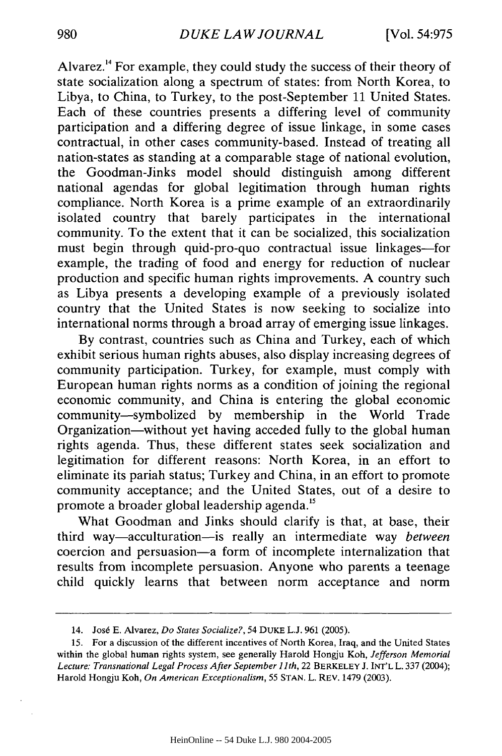Alvarez.<sup>14</sup> For example, they could study the success of their theory of state socialization along a spectrum of states: from North Korea, to Libya, to China, to Turkey, to the post-September 11 United States. Each of these countries presents a differing level of community participation and a differing degree of issue linkage, in some cases contractual, in other cases community-based. Instead of treating all nation-states as standing at a comparable stage of national evolution, the Goodman-Jinks model should distinguish among different national agendas for global legitimation through human rights compliance. North Korea is a prime example of an extraordinarily isolated country that barely participates in the international community. To the extent that it can be socialized, this socialization must begin through quid-pro-quo contractual issue linkages-for example, the trading of food and energy for reduction of nuclear production and specific human rights improvements. A country such as Libya presents a developing example of a previously isolated country that the United States is now seeking to socialize into international norms through a broad array of emerging issue linkages.

By contrast, countries such as China and Turkey, each of which exhibit serious human rights abuses, also display increasing degrees of community participation. Turkey, for example, must comply with European human rights norms as a condition of joining the regional economic community, and China is entering the global economic community-symbolized by membership in the World Trade Organization-without yet having acceded fully to the global human rights agenda. Thus, these different states seek socialization and legitimation for different reasons: North Korea, in an effort to eliminate its pariah status; Turkey and China, in an effort to promote community acceptance; and the United States, out of a desire to promote a broader global leadership agenda.<sup>15</sup>

What Goodman and Jinks should clarify is that, at base, their third way-acculturation-is really an intermediate way *between* coercion and persuasion-a form of incomplete internalization that results from incomplete persuasion. Anyone who parents a teenage child quickly learns that between norm acceptance and norm

<sup>14.</sup> Josd E. Alvarez, *Do States Socialize?,* 54 DUKE L.J. 961 (2005).

<sup>15.</sup> For a discussion of the different incentives of North Korea, Iraq, and the United States within the global human rights system, see generally Harold Hongju Koh, *Jefferson Memorial Lecture: Transnational Legal Process After September 11th,* 22 BERKELEY J. INT'L L. 337 (2004); Harold Hongju Koh, *On American Exceptionalism,* 55 STAN. L. REV. 1479 (2003).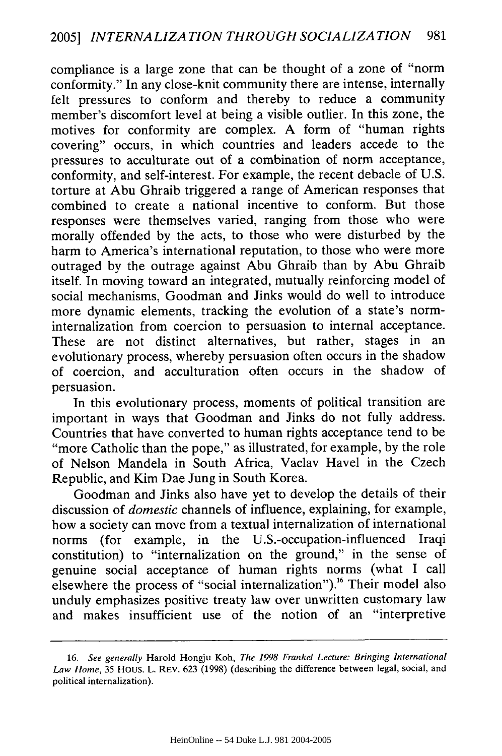compliance is a large zone that can be thought of a zone of "norm conformity." In any close-knit community there are intense, internally felt pressures to conform and thereby to reduce a community member's discomfort level at being a visible outlier. In this zone, the motives for conformity are complex. A form of "human rights covering" occurs, in which countries and leaders accede to the pressures to acculturate out of a combination of norm acceptance, conformity, and self-interest. For example, the recent debacle of U.S. torture at Abu Ghraib triggered a range of American responses that combined to create a national incentive to conform. But those responses were themselves varied, ranging from those who were morally offended by the acts, to those who were disturbed by the harm to America's international reputation, to those who were more outraged by the outrage against Abu Ghraib than by Abu Ghraib itself. In moving toward an integrated, mutually reinforcing model of social mechanisms, Goodman and Jinks would do well to introduce more dynamic elements, tracking the evolution of a state's norminternalization from coercion to persuasion to internal acceptance. These are not distinct alternatives, but rather, stages in an evolutionary process, whereby persuasion often occurs in the shadow of coercion, and acculturation often occurs in the shadow of persuasion.

In this evolutionary process, moments of political transition are important in ways that Goodman and Jinks do not fully address. Countries that have converted to human rights acceptance tend to be "more Catholic than the pope," as illustrated, for example, by the role of Nelson Mandela in South Africa, Vaclav Havel in the Czech Republic, and Kim Dae Jung in South Korea.

Goodman and Jinks also have yet to develop the details of their discussion of *domestic* channels of influence, explaining, for example, how a society can move from a textual internalization of international norms (for example, in the U.S.-occupation-influenced Iraqi constitution) to "internalization on the ground," in the sense of genuine social acceptance of human rights norms (what I call elsewhere the process of "social internalization").<sup>16</sup> Their model also unduly emphasizes positive treaty law over unwritten customary law and makes insufficient use of the notion of an "interpretive

**<sup>16.</sup>** *See generally* Harold Hongju Koh, *The 1998 Frankel Lecture: Bringing International Law Home,* 35 HOUS. L. REV. 623 (1998) (describing the difference between legal, social, and political internalization).